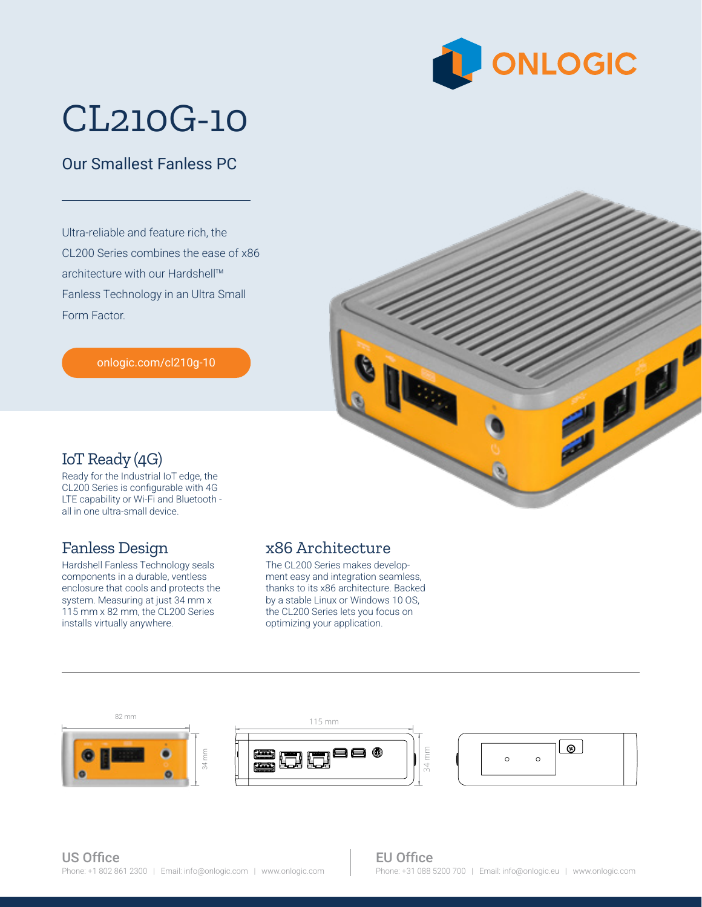

# CL210G-10

### Our Smallest Fanless PC

Ultra-reliable and feature rich, the CL200 Series combines the ease of x86 architecture with our Hardshell™ Fanless Technology in an Ultra Small Form Factor.

[onlogic.com/cl210g-10](https://www.onlogic.com/cl210g-10/)



#### IoT Ready (4G)

Ready for the Industrial IoT edge, the CL200 Series is configurable with 4G LTE capability or Wi-Fi and Bluetooth all in one ultra-small device.

#### Fanless Design

Hardshell Fanless Technology seals components in a durable, ventless enclosure that cools and protects the system. Measuring at just 34 mm x 115 mm x 82 mm, the CL200 Series installs virtually anywhere.

#### x86 Architecture

optimizing your application. The CL200 Series makes development easy and integration seamless, thanks to its x86 architecture. Backed by a stable Linux or Windows 10 OS, the CL200 Series lets you focus on



34 mm

#### EU Office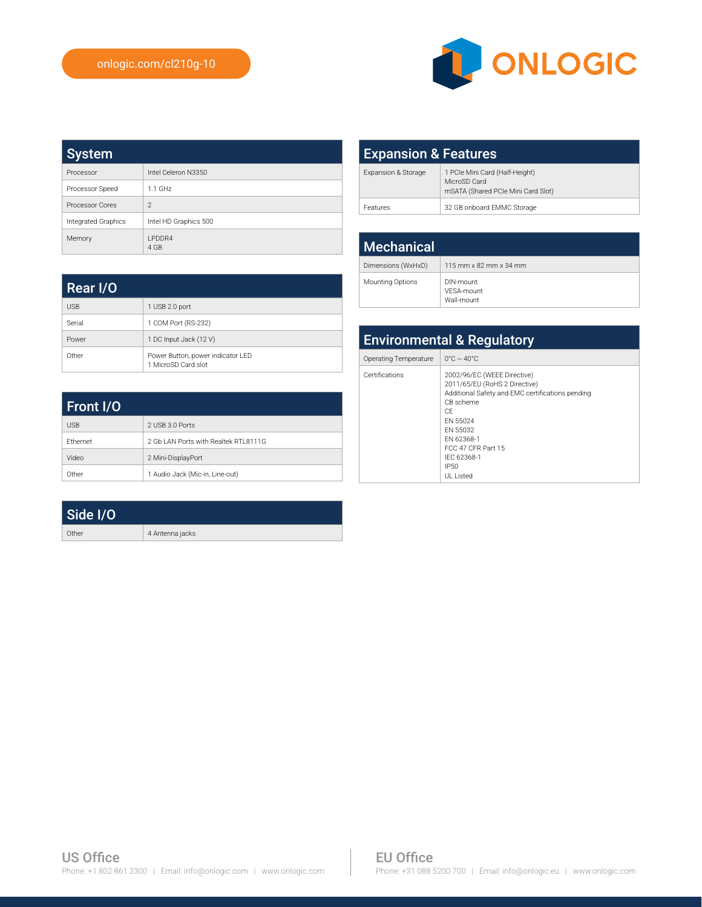Rear I/O

USB 1 USB 2.0 port Serial 1 COM Port (RS-232) Power 1 DC Input Jack (12 V)

Other Power Button, power indicator LED 1 MicroSD Card slot



| <b>System</b>          |                        |
|------------------------|------------------------|
| Processor              | Intel Celeron N3350    |
| Processor Speed        | $1.1$ GHz              |
| <b>Processor Cores</b> | $\mathfrak{D}$         |
| Integrated Graphics    | Intel HD Graphics 500  |
| Memory                 | <b>I PDDR4</b><br>4 GB |

| <b>Expansion &amp; Features</b> |                                                                                      |
|---------------------------------|--------------------------------------------------------------------------------------|
| Expansion & Storage             | 1 PCIe Mini Card (Half-Height)<br>MicroSD Card<br>mSATA (Shared PCIe Mini Card Slot) |
| Features                        | 32 GB onboard EMMC Storage                                                           |

| <b>Mechanical</b>  |                                                            |
|--------------------|------------------------------------------------------------|
| Dimensions (WxHxD) | $115 \text{ mm} \times 82 \text{ mm} \times 34 \text{ mm}$ |
| Mounting Options   | DIN-mount<br>VFSA-mount<br>Wall-mount                      |

| <b>Environmental &amp; Regulatory</b> |                                                                                                                                                                                                                                     |
|---------------------------------------|-------------------------------------------------------------------------------------------------------------------------------------------------------------------------------------------------------------------------------------|
| Operating Temperature                 | $0^{\circ}$ C ~ 40 $^{\circ}$ C                                                                                                                                                                                                     |
| Certifications                        | 2002/96/EC (WEEE Directive)<br>2011/65/EU (RoHS 2 Directive)<br>Additional Safety and EMC certifications pending<br>CB scheme<br>CF<br>FN 55024<br>FN 55032<br>FN 62368-1<br>FCC 47 CFR Part 15<br>IFC 62368-1<br>IP50<br>UI Listed |

| Front I/O  |                                       |
|------------|---------------------------------------|
| <b>USB</b> | 2 USB 3.0 Ports                       |
| Ethernet   | 2 Gb LAN Ports with Realtek RTI 8111G |
| Video      | 2 Mini-DisplayPort                    |
| Other      | 1 Audio Jack (Mic-in, Line-out)       |

| Side I/O |                 |
|----------|-----------------|
| Other    | 4 Antenna jacks |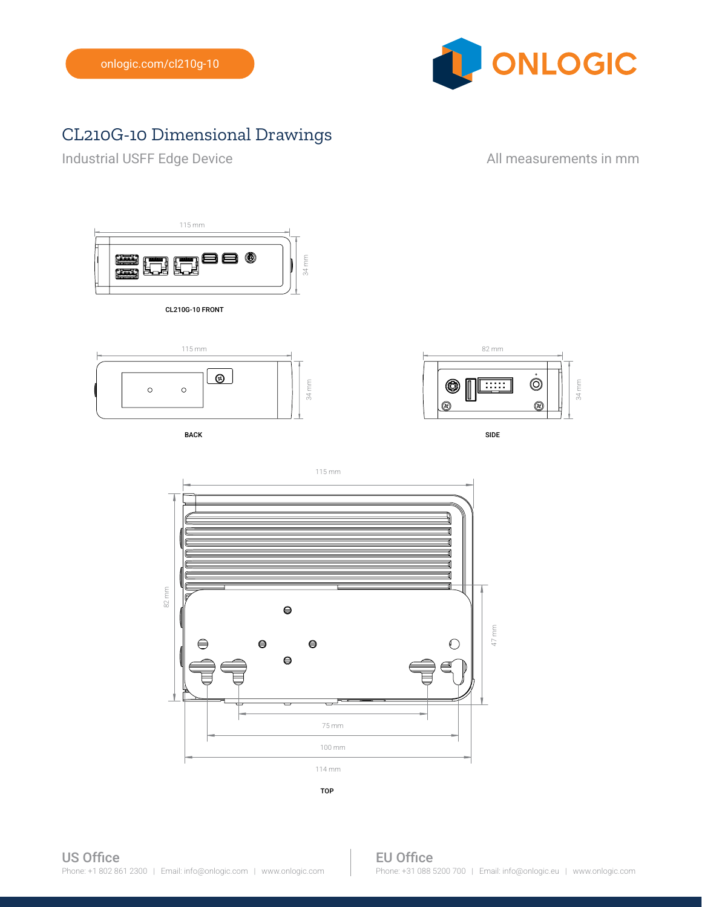

## CL210G-10 Dimensional Drawings

Industrial USFF Edge Device **All measurements in mm** 



CL210G-10 FRONT



BACK SIDE AND INTERNATIONAL SERVICES OF THE SIDE OF THE SIDE OF THE SIDE OF THE SIDE OF THE SIDE OF THE SIDE O